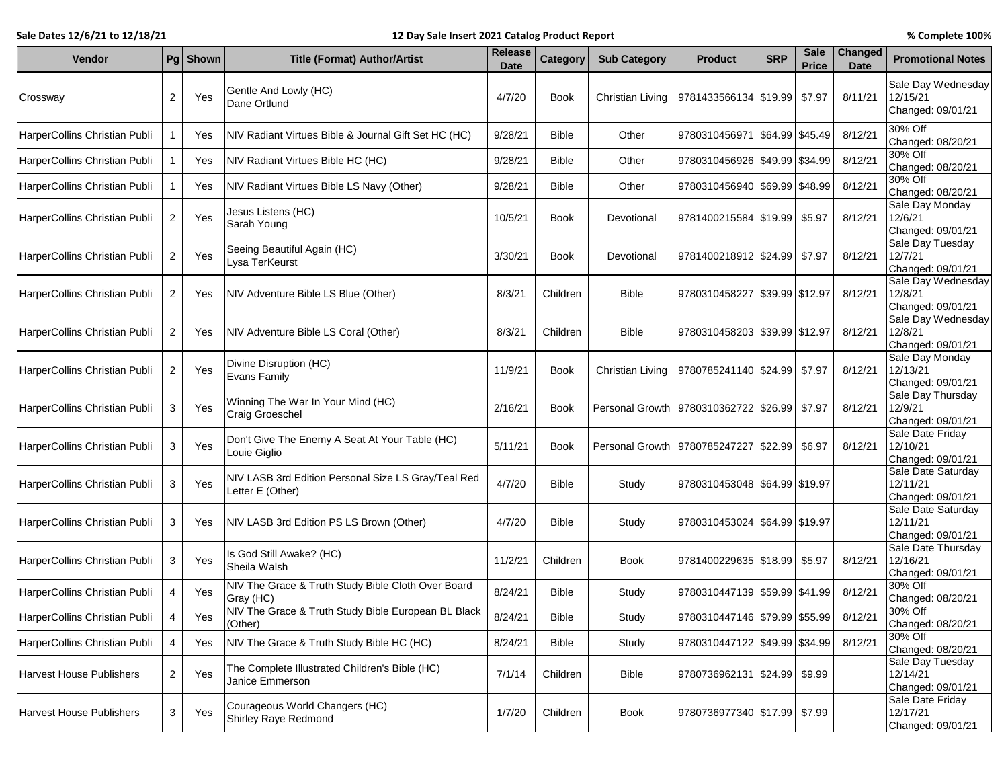## **Sale Dates 12/6/21 to 12/18/21 12 Day Sale Insert 2021 Catalog Product Report % Complete 100%**

| Vendor                          |                | Pg Shown | <b>Title (Format) Author/Artist</b>                                     | Release<br><b>Date</b> | <b>Category</b> | <b>Sub Category</b> | <b>Product</b>                              | <b>SRP</b> | <b>Sale</b><br><b>Price</b> | Changed<br><b>Date</b> | <b>Promotional Notes</b>                            |
|---------------------------------|----------------|----------|-------------------------------------------------------------------------|------------------------|-----------------|---------------------|---------------------------------------------|------------|-----------------------------|------------------------|-----------------------------------------------------|
| Crossway                        | 2              | Yes      | Gentle And Lowly (HC)<br>Dane Ortlund                                   | 4/7/20                 | <b>Book</b>     | Christian Living    | 9781433566134 \$19.99                       |            | \$7.97                      | 8/11/21                | Sale Day Wednesday<br>12/15/21<br>Changed: 09/01/21 |
| HarperCollins Christian Publi   |                | Yes      | NIV Radiant Virtues Bible & Journal Gift Set HC (HC)                    | 9/28/21                | <b>Bible</b>    | Other               | 9780310456971 \$64.99                       |            | \$45.49                     | 8/12/21                | 30% Off<br>Changed: 08/20/21                        |
| HarperCollins Christian Publi   |                | Yes      | NIV Radiant Virtues Bible HC (HC)                                       | 9/28/21                | <b>Bible</b>    | Other               | 9780310456926   \$49.99   \$34.99           |            |                             | 8/12/21                | 30% Off<br>Changed: 08/20/21                        |
| HarperCollins Christian Publi   |                | Yes      | NIV Radiant Virtues Bible LS Navy (Other)                               | 9/28/21                | <b>Bible</b>    | Other               | 9780310456940 \$69.99 \$48.99               |            |                             | 8/12/21                | 30% Off<br>Changed: 08/20/21                        |
| HarperCollins Christian Publi   | $\overline{2}$ | Yes      | Jesus Listens (HC)<br>Sarah Young                                       | 10/5/21                | Book            | Devotional          | 9781400215584   \$19.99                     |            | \$5.97                      | 8/12/21                | Sale Day Monday<br>12/6/21<br>Changed: 09/01/21     |
| HarperCollins Christian Publi   | $\overline{2}$ | Yes      | Seeing Beautiful Again (HC)<br>Lysa TerKeurst                           | 3/30/21                | Book            | Devotional          | 9781400218912   \$24.99                     |            | \$7.97                      | 8/12/21                | Sale Day Tuesday<br>12/7/21<br>Changed: 09/01/21    |
| HarperCollins Christian Publi   | $\overline{2}$ | Yes      | NIV Adventure Bible LS Blue (Other)                                     | 8/3/21                 | Children        | <b>Bible</b>        | 9780310458227 \$39.99 \$12.97               |            |                             | 8/12/21                | Sale Day Wednesday<br>12/8/21<br>Changed: 09/01/21  |
| HarperCollins Christian Publi   | $\overline{2}$ | Yes      | NIV Adventure Bible LS Coral (Other)                                    | 8/3/21                 | Children        | <b>Bible</b>        | 9780310458203 \$39.99 \$12.97               |            |                             | 8/12/21                | Sale Day Wednesday<br>12/8/21<br>Changed: 09/01/21  |
| HarperCollins Christian Publi   | $\overline{2}$ | Yes      | Divine Disruption (HC)<br>Evans Family                                  | 11/9/21                | <b>Book</b>     | Christian Living    | 9780785241140 \$24.99                       |            | \$7.97                      | 8/12/21                | Sale Day Monday<br>12/13/21<br>Changed: 09/01/21    |
| HarperCollins Christian Publi   | 3              | Yes      | Winning The War In Your Mind (HC)<br>Craig Groeschel                    | 2/16/21                | <b>Book</b>     |                     | Personal Growth   9780310362722   \$26.99   |            | \$7.97                      | 8/12/21                | Sale Day Thursday<br>12/9/21<br>Changed: 09/01/21   |
| HarperCollins Christian Publi   | 3              | Yes      | Don't Give The Enemy A Seat At Your Table (HC)<br>Louie Giglio          | 5/11/21                | <b>Book</b>     |                     | Personal Growth   9780785247227   \$22.99   |            | \$6.97                      | 8/12/21                | Sale Date Friday<br>12/10/21<br>Changed: 09/01/21   |
| HarperCollins Christian Publi   | 3              | Yes      | NIV LASB 3rd Edition Personal Size LS Gray/Teal Red<br>Letter E (Other) | 4/7/20                 | <b>Bible</b>    | Study               | 9780310453048 \$64.99 \$19.97               |            |                             |                        | Sale Date Saturday<br>12/11/21<br>Changed: 09/01/21 |
| HarperCollins Christian Publi   | 3              | Yes      | NIV LASB 3rd Edition PS LS Brown (Other)                                | 4/7/20                 | <b>Bible</b>    | Study               | 9780310453024   \$64.99   \$19.97           |            |                             |                        | Sale Date Saturday<br>12/11/21<br>Changed: 09/01/21 |
| HarperCollins Christian Publi   | 3              | Yes      | Is God Still Awake? (HC)<br>Sheila Walsh                                | 11/2/21                | Children        | Book                | 9781400229635   \$18.99                     |            | \$5.97                      | 8/12/21                | Sale Date Thursday<br>12/16/21<br>Changed: 09/01/21 |
| HarperCollins Christian Publi   | $\overline{4}$ | Yes      | NIV The Grace & Truth Study Bible Cloth Over Board<br>Gray (HC)         | 8/24/21                | Bible           | Study               | 9780310447139 \$59.99 \$41.99               |            |                             | 8/12/21                | 30% Off<br>Changed: 08/20/21                        |
| HarperCollins Christian Publi   |                | Yes      | NIV The Grace & Truth Study Bible European BL Black<br>(Other)          | 8/24/21                | <b>Bible</b>    | Study               | 9780310447146   \$79.99   \$55.99   8/12/21 |            |                             |                        | 30% Off<br>Changed: 08/20/21                        |
| HarperCollins Christian Publi   | 4              | Yes      | NIV The Grace & Truth Study Bible HC (HC)                               | 8/24/21                | <b>Bible</b>    | Study               | 9780310447122 \$49.99 \$34.99               |            |                             | 8/12/21                | 30% Off<br>Changed: 08/20/21                        |
| <b>Harvest House Publishers</b> | $\overline{2}$ | Yes      | The Complete Illustrated Children's Bible (HC)<br>Janice Emmerson       | 7/1/14                 | Children        | <b>Bible</b>        | 9780736962131   \$24.99   \$9.99            |            |                             |                        | Sale Day Tuesday<br>12/14/21<br>Changed: 09/01/21   |
| <b>Harvest House Publishers</b> | 3              | Yes      | Courageous World Changers (HC)<br>Shirley Raye Redmond                  | 1/7/20                 | Children        | Book                | 9780736977340   \$17.99                     |            | \$7.99                      |                        | Sale Date Friday<br>12/17/21<br>Changed: 09/01/21   |